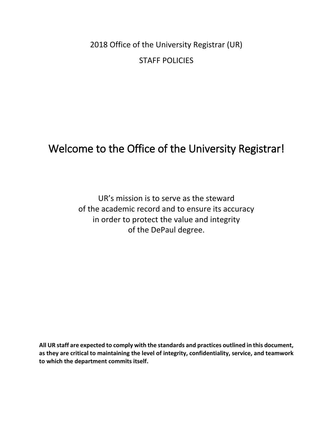2018 Office of the University Registrar (UR) STAFF POLICIES

# Welcome to the Office of the University Registrar!

UR's mission is to serve as the steward of the academic record and to ensure its accuracy in order to protect the value and integrity of the DePaul degree.

**All UR staff are expected to comply with the standards and practices outlined in this document, as they are critical to maintaining the level of integrity, confidentiality, service, and teamwork to which the department commits itself.**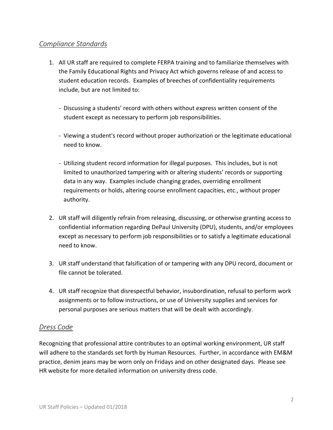### *Compliance Standards*

- 1. All UR staff are required to complete FERPA training and to familiarize themselves with the Family Educational Rights and Privacy Act which governs release of and access to student education records. Examples of breeches of confidentiality requirements include, but are not limited to:
	- Discussing a students' record with others without express written consent of the student except as necessary to perform job responsibilities.
	- Viewing a student's record without proper authorization or the legitimate educational need to know.
	- Utilizing student record information for illegal purposes. This includes, but is not limited to unauthorized tampering with or altering students' records or supporting data in any way. Examples include changing grades, overriding enrollment requirements or holds, altering course enrollment capacities, etc., without proper authority.
- 2. UR staff will diligently refrain from releasing, discussing, or otherwise granting access to confidential information regarding DePaul University (DPU), students, and/or employees except as necessary to perform job responsibilities or to satisfy a legitimate educational need to know.
- 3. UR staff understand that falsification of or tampering with any DPU record, document or file cannot be tolerated.
- 4. UR staff recognize that disrespectful behavior, insubordination, refusal to perform work assignments or to follow instructions, or use of University supplies and services for personal purposes are serious matters that will be dealt with accordingly.

### *Dress Code*

Recognizing that professional attire contributes to an optimal working environment, UR staff will adhere to the standards set forth by Human Resources. Further, in accordance with EM&M practice, denim jeans may be worn only on Fridays and on other designated days. Please see HR website for more detailed information on university dress code.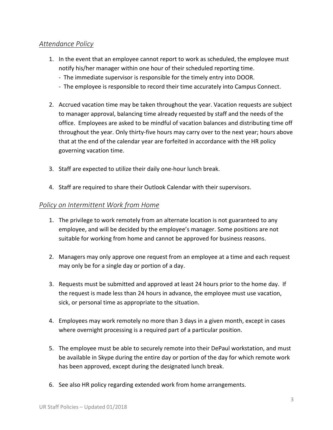### *Attendance Policy*

- 1. In the event that an employee cannot report to work as scheduled, the employee must notify his/her manager within one hour of their scheduled reporting time.
	- The immediate supervisor is responsible for the timely entry into DOOR.
	- The employee is responsible to record their time accurately into Campus Connect.
- 2. Accrued vacation time may be taken throughout the year. Vacation requests are subject to manager approval, balancing time already requested by staff and the needs of the office. Employees are asked to be mindful of vacation balances and distributing time off throughout the year. Only thirty-five hours may carry over to the next year; hours above that at the end of the calendar year are forfeited in accordance with the HR policy governing vacation time.
- 3. Staff are expected to utilize their daily one-hour lunch break.
- 4. Staff are required to share their Outlook Calendar with their supervisors.

#### *Policy on Intermittent Work from Home*

- 1. The privilege to work remotely from an alternate location is not guaranteed to any employee, and will be decided by the employee's manager. Some positions are not suitable for working from home and cannot be approved for business reasons.
- 2. Managers may only approve one request from an employee at a time and each request may only be for a single day or portion of a day.
- 3. Requests must be submitted and approved at least 24 hours prior to the home day. If the request is made less than 24 hours in advance, the employee must use vacation, sick, or personal time as appropriate to the situation.
- 4. Employees may work remotely no more than 3 days in a given month, except in cases where overnight processing is a required part of a particular position.
- 5. The employee must be able to securely remote into their DePaul workstation, and must be available in Skype during the entire day or portion of the day for which remote work has been approved, except during the designated lunch break.
- 6. See also HR policy regarding extended work from home arrangements.